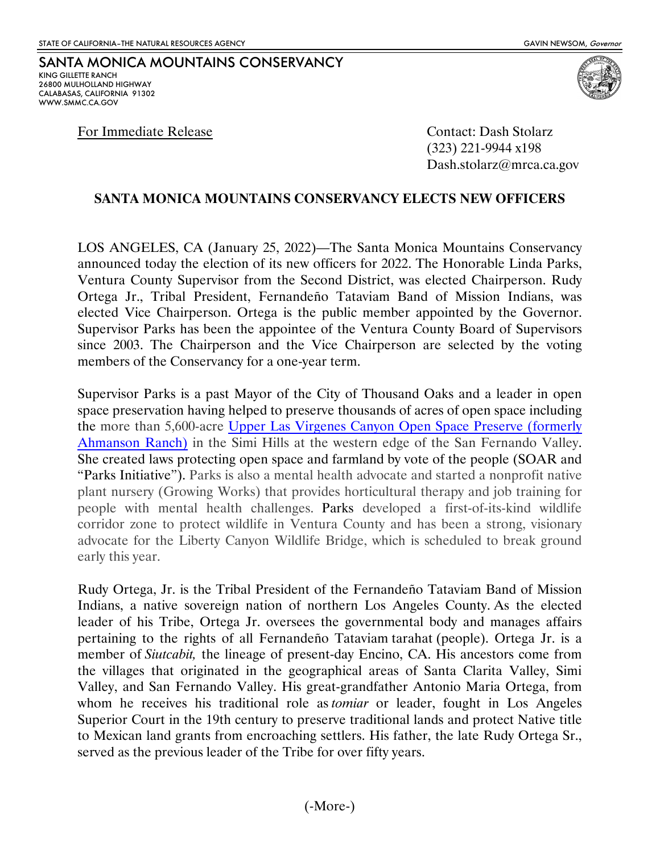SANTA MONICA MOUNTAINS CONSERVANCY KING GILLETTE RANCH 26800 MULHOLLAND HIGHWAY CALABASAS, CALIFORNIA 91302 WWW.SMMC.CA.GOV

For Immediate Release Contact: Dash Stolarz

(323) 221-9944 x198 Dash.stolarz@mrca.ca.gov

## **SANTA MONICA MOUNTAINS CONSERVANCY ELECTS NEW OFFICERS**

LOS ANGELES, CA (January 25, 2022)—The Santa Monica Mountains Conservancy announced today the election of its new officers for 2022. The Honorable Linda Parks, Ventura County Supervisor from the Second District, was elected Chairperson. Rudy Ortega Jr., Tribal President, Fernandeño Tataviam Band of Mission Indians, was elected Vice Chairperson. Ortega is the public member appointed by the Governor. Supervisor Parks has been the appointee of the Ventura County Board of Supervisors since 2003. The Chairperson and the Vice Chairperson are selected by the voting members of the Conservancy for a one-year term.

Supervisor Parks is a past Mayor of the City of Thousand Oaks and a leader in open space preservation having helped to preserve thousands of acres of open space including the more than 5,600-acre [Upper Las Virgenes Canyon Open Space Preserve \(formerly](https://mrca.ca.gov/parks/park-listing/upper-las-virgenes-canyon-open-space-preserve-formerly-ahmanson-ranch/)  [Ahmanson Ranch\)](https://mrca.ca.gov/parks/park-listing/upper-las-virgenes-canyon-open-space-preserve-formerly-ahmanson-ranch/) in the Simi Hills at the western edge of the San Fernando Valley. She created laws protecting open space and farmland by vote of the people (SOAR and "Parks Initiative"). Parks is also a mental health advocate and started a nonprofit native plant nursery (Growing Works) that provides horticultural therapy and job training for people with mental health challenges. Parks developed a first-of-its-kind wildlife corridor zone to protect wildlife in Ventura County and has been a strong, visionary advocate for the Liberty Canyon Wildlife Bridge, which is scheduled to break ground early this year.

Rudy Ortega, Jr. is the Tribal President of the Fernandeño Tataviam Band of Mission Indians, a native sovereign nation of northern Los Angeles County. As the elected leader of his Tribe, Ortega Jr. oversees the governmental body and manages affairs pertaining to the rights of all Fernandeño Tataviam tarahat (people). Ortega Jr. is a member of *Siutcabit,* the lineage of present-day Encino, CA. His ancestors come from the villages that originated in the geographical areas of Santa Clarita Valley, Simi Valley, and San Fernando Valley. His great-grandfather Antonio Maria Ortega, from whom he receives his traditional role as *tomiar* or leader, fought in Los Angeles Superior Court in the 19th century to preserve traditional lands and protect Native title to Mexican land grants from encroaching settlers. His father, the late Rudy Ortega Sr., served as the previous leader of the Tribe for over fifty years.